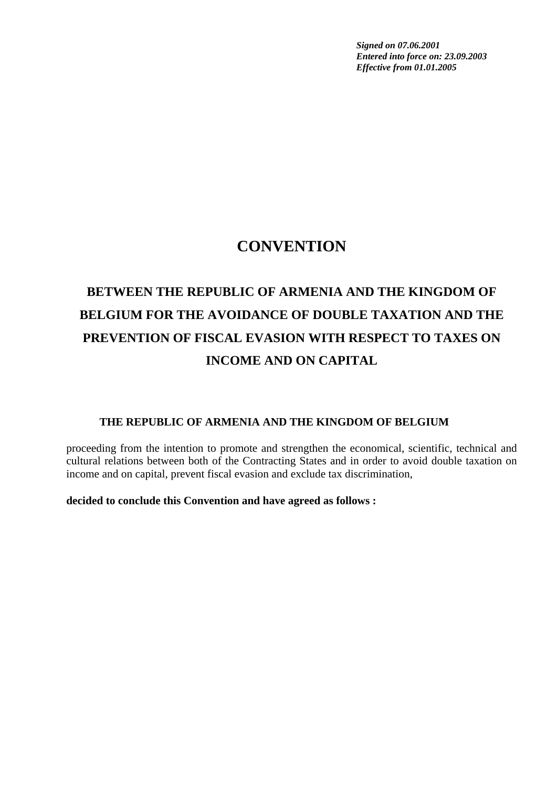*Signed on 07.06.2001 Entered into force on: 23.09.2003 Effective from 01.01.2005* 

## **CONVENTION**

# **BETWEEN THE REPUBLIC OF ARMENIA AND THE KINGDOM OF BELGIUM FOR THE AVOIDANCE OF DOUBLE TAXATION AND THE PREVENTION OF FISCAL EVASION WITH RESPECT TO TAXES ON INCOME AND ON CAPITAL**

#### **THE REPUBLIC OF ARMENIA AND THE KINGDOM OF BELGIUM**

proceeding from the intention to promote and strengthen the economical, scientific, technical and cultural relations between both of the Contracting States and in order to avoid double taxation on income and on capital, prevent fiscal evasion and exclude tax discrimination,

**decided to conclude this Convention and have agreed as follows :**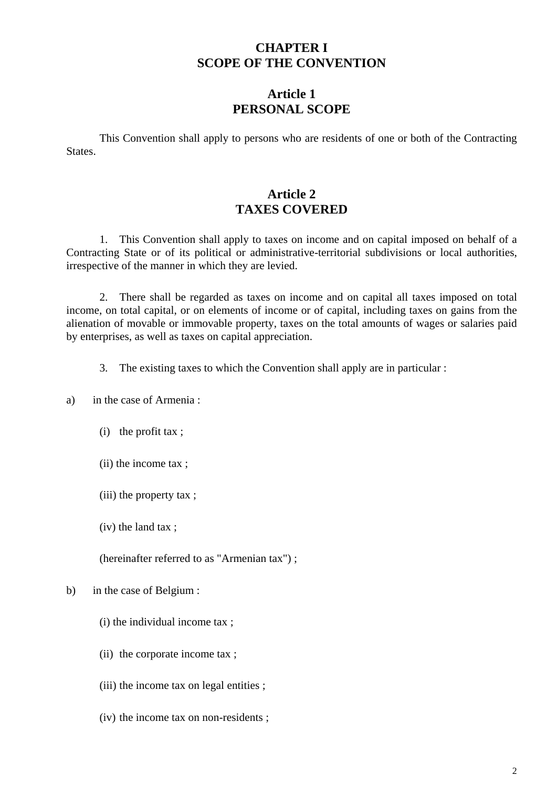#### **CHAPTER I SCOPE OF THE CONVENTION**

#### **Article 1 PERSONAL SCOPE**

This Convention shall apply to persons who are residents of one or both of the Contracting States.

### **Article 2 TAXES COVERED**

1. This Convention shall apply to taxes on income and on capital imposed on behalf of a Contracting State or of its political or administrative-territorial subdivisions or local authorities, irrespective of the manner in which they are levied.

2. There shall be regarded as taxes on income and on capital all taxes imposed on total income, on total capital, or on elements of income or of capital, including taxes on gains from the alienation of movable or immovable property, taxes on the total amounts of wages or salaries paid by enterprises, as well as taxes on capital appreciation.

3. The existing taxes to which the Convention shall apply are in particular :

a) in the case of Armenia :

- (i) the profit tax ;
- (ii) the income tax ;
- (iii) the property tax ;
- (iv) the land tax ;

(hereinafter referred to as "Armenian tax") ;

#### b) in the case of Belgium :

- (i) the individual income tax ;
- (ii) the corporate income tax ;
- (iii) the income tax on legal entities ;
- (iv) the income tax on non-residents ;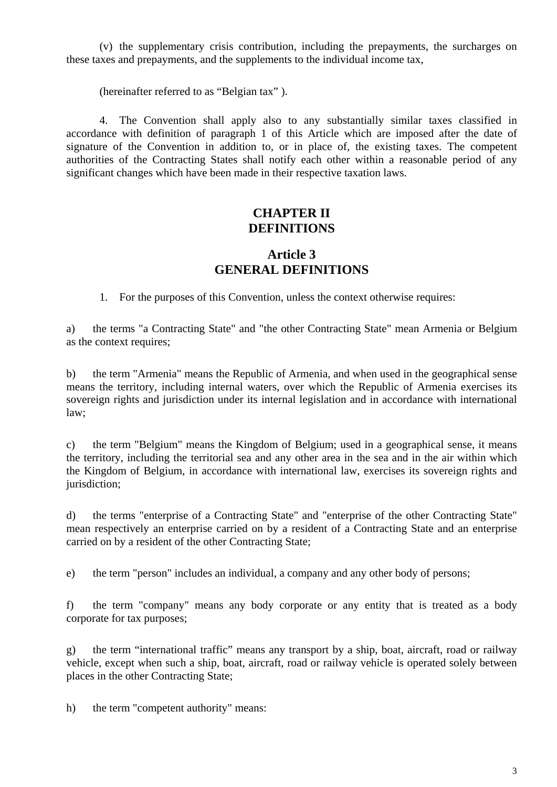(v) the supplementary crisis contribution, including the prepayments, the surcharges on these taxes and prepayments, and the supplements to the individual income tax,

(hereinafter referred to as "Belgian tax" ).

4. The Convention shall apply also to any substantially similar taxes classified in accordance with definition of paragraph 1 of this Article which are imposed after the date of signature of the Convention in addition to, or in place of, the existing taxes. The competent authorities of the Contracting States shall notify each other within a reasonable period of any significant changes which have been made in their respective taxation laws.

#### **CHAPTER II DEFINITIONS**

#### **Article 3 GENERAL DEFINITIONS**

1. For the purposes of this Convention, unless the context otherwise requires:

a) the terms "a Contracting State" and "the other Contracting State" mean Armenia or Belgium as the context requires;

b) the term "Armenia" means the Republic of Armenia, and when used in the geographical sense means the territory, including internal waters, over which the Republic of Armenia exercises its sovereign rights and jurisdiction under its internal legislation and in accordance with international law;

c) the term "Belgium" means the Kingdom of Belgium; used in a geographical sense, it means the territory, including the territorial sea and any other area in the sea and in the air within which the Kingdom of Belgium, in accordance with international law, exercises its sovereign rights and jurisdiction;

d) the terms "enterprise of a Contracting State" and "enterprise of the other Contracting State" mean respectively an enterprise carried on by a resident of a Contracting State and an enterprise carried on by a resident of the other Contracting State;

e) the term "person" includes an individual, a company and any other body of persons;

f) the term "company" means any body corporate or any entity that is treated as a body corporate for tax purposes;

g) the term "international traffic" means any transport by a ship, boat, aircraft, road or railway vehicle, except when such a ship, boat, aircraft, road or railway vehicle is operated solely between places in the other Contracting State;

h) the term "competent authority" means: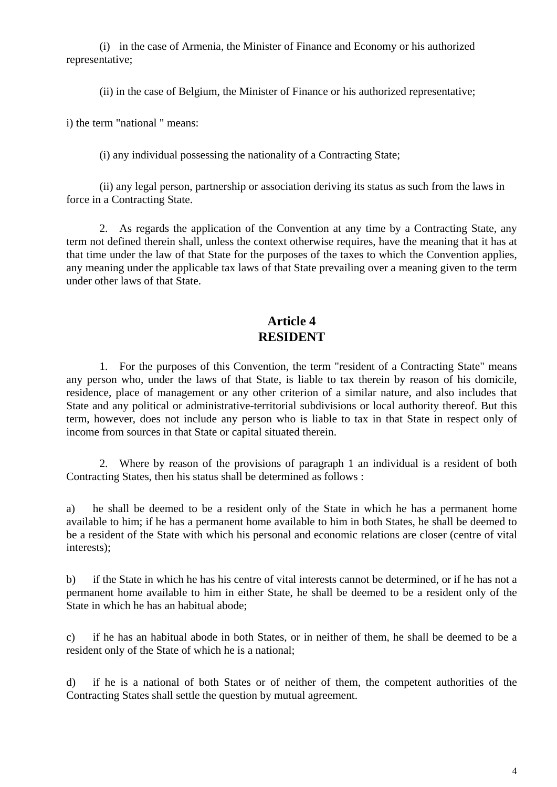(i) in the case of Armenia, the Minister of Finance and Economy or his authorized representative;

(ii) in the case of Belgium, the Minister of Finance or his authorized representative;

i) the term "national " means:

(i) any individual possessing the nationality of a Contracting State;

(ii) any legal person, partnership or association deriving its status as such from the laws in force in a Contracting State.

2. As regards the application of the Convention at any time by a Contracting State, any term not defined therein shall, unless the context otherwise requires, have the meaning that it has at that time under the law of that State for the purposes of the taxes to which the Convention applies, any meaning under the applicable tax laws of that State prevailing over a meaning given to the term under other laws of that State.

#### **Article 4 RESIDENT**

1. For the purposes of this Convention, the term "resident of a Contracting State" means any person who, under the laws of that State, is liable to tax therein by reason of his domicile, residence, place of management or any other criterion of a similar nature, and also includes that State and any political or administrative-territorial subdivisions or local authority thereof. But this term, however, does not include any person who is liable to tax in that State in respect only of income from sources in that State or capital situated therein.

2. Where by reason of the provisions of paragraph 1 an individual is a resident of both Contracting States, then his status shall be determined as follows :

a) he shall be deemed to be a resident only of the State in which he has a permanent home available to him; if he has a permanent home available to him in both States, he shall be deemed to be a resident of the State with which his personal and economic relations are closer (centre of vital interests);

b) if the State in which he has his centre of vital interests cannot be determined, or if he has not a permanent home available to him in either State, he shall be deemed to be a resident only of the State in which he has an habitual abode;

c) if he has an habitual abode in both States, or in neither of them, he shall be deemed to be a resident only of the State of which he is a national;

d) if he is a national of both States or of neither of them, the competent authorities of the Contracting States shall settle the question by mutual agreement.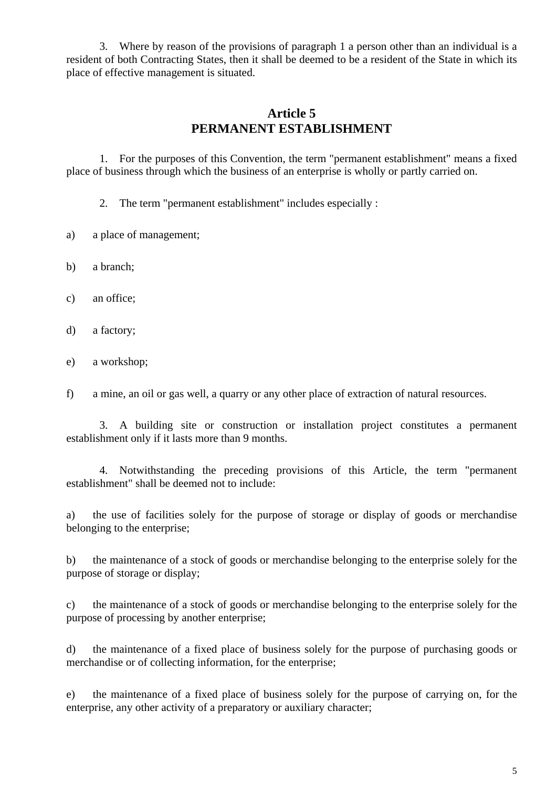3. Where by reason of the provisions of paragraph 1 a person other than an individual is a resident of both Contracting States, then it shall be deemed to be a resident of the State in which its place of effective management is situated.

### **Article 5 PERMANENT ESTABLISHMENT**

1. For the purposes of this Convention, the term "permanent establishment" means a fixed place of business through which the business of an enterprise is wholly or partly carried on.

2. The term "permanent establishment" includes especially :

- a) a place of management;
- b) a branch;
- c) an office;
- d) a factory;
- e) a workshop;

f) a mine, an oil or gas well, a quarry or any other place of extraction of natural resources.

3. A building site or construction or installation project constitutes a permanent establishment only if it lasts more than 9 months.

4. Notwithstanding the preceding provisions of this Article, the term "permanent establishment" shall be deemed not to include:

a) the use of facilities solely for the purpose of storage or display of goods or merchandise belonging to the enterprise;

b) the maintenance of a stock of goods or merchandise belonging to the enterprise solely for the purpose of storage or display;

c) the maintenance of a stock of goods or merchandise belonging to the enterprise solely for the purpose of processing by another enterprise;

d) the maintenance of a fixed place of business solely for the purpose of purchasing goods or merchandise or of collecting information, for the enterprise;

e) the maintenance of a fixed place of business solely for the purpose of carrying on, for the enterprise, any other activity of a preparatory or auxiliary character;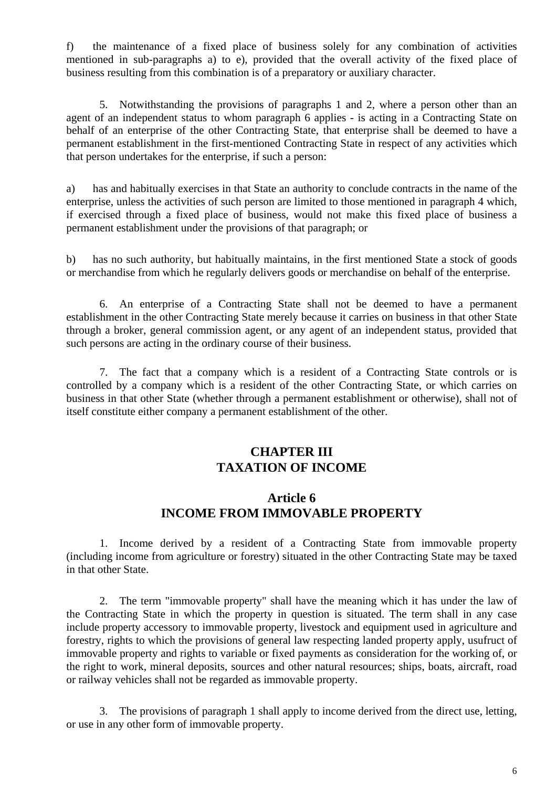f) the maintenance of a fixed place of business solely for any combination of activities mentioned in sub-paragraphs a) to e), provided that the overall activity of the fixed place of business resulting from this combination is of a preparatory or auxiliary character.

5. Notwithstanding the provisions of paragraphs 1 and 2, where a person other than an agent of an independent status to whom paragraph 6 applies - is acting in a Contracting State on behalf of an enterprise of the other Contracting State, that enterprise shall be deemed to have a permanent establishment in the first-mentioned Contracting State in respect of any activities which that person undertakes for the enterprise, if such a person:

a) has and habitually exercises in that State an authority to conclude contracts in the name of the enterprise, unless the activities of such person are limited to those mentioned in paragraph 4 which, if exercised through a fixed place of business, would not make this fixed place of business a permanent establishment under the provisions of that paragraph; or

b) has no such authority, but habitually maintains, in the first mentioned State a stock of goods or merchandise from which he regularly delivers goods or merchandise on behalf of the enterprise.

6. An enterprise of a Contracting State shall not be deemed to have a permanent establishment in the other Contracting State merely because it carries on business in that other State through a broker, general commission agent, or any agent of an independent status, provided that such persons are acting in the ordinary course of their business.

7. The fact that a company which is a resident of a Contracting State controls or is controlled by a company which is a resident of the other Contracting State, or which carries on business in that other State (whether through a permanent establishment or otherwise), shall not of itself constitute either company a permanent establishment of the other.

### **CHAPTER III TAXATION OF INCOME**

#### **Article 6 INCOME FROM IMMOVABLE PROPERTY**

1. Income derived by a resident of a Contracting State from immovable property (including income from agriculture or forestry) situated in the other Contracting State may be taxed in that other State.

2. The term "immovable property" shall have the meaning which it has under the law of the Contracting State in which the property in question is situated. The term shall in any case include property accessory to immovable property, livestock and equipment used in agriculture and forestry, rights to which the provisions of general law respecting landed property apply, usufruct of immovable property and rights to variable or fixed payments as consideration for the working of, or the right to work, mineral deposits, sources and other natural resources; ships, boats, aircraft, road or railway vehicles shall not be regarded as immovable property.

3. The provisions of paragraph 1 shall apply to income derived from the direct use, letting, or use in any other form of immovable property.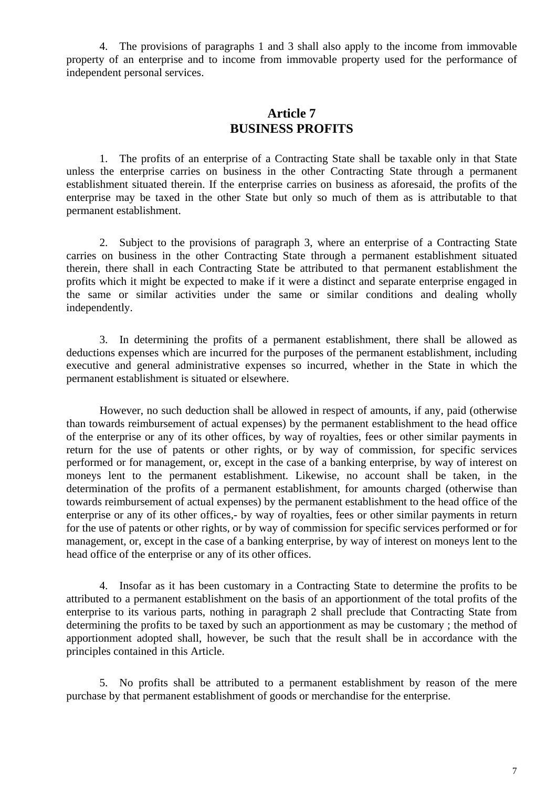4. The provisions of paragraphs 1 and 3 shall also apply to the income from immovable property of an enterprise and to income from immovable property used for the performance of independent personal services.

#### **Article 7 BUSINESS PROFITS**

1. The profits of an enterprise of a Contracting State shall be taxable only in that State unless the enterprise carries on business in the other Contracting State through a permanent establishment situated therein. If the enterprise carries on business as aforesaid, the profits of the enterprise may be taxed in the other State but only so much of them as is attributable to that permanent establishment.

2. Subject to the provisions of paragraph 3, where an enterprise of a Contracting State carries on business in the other Contracting State through a permanent establishment situated therein, there shall in each Contracting State be attributed to that permanent establishment the profits which it might be expected to make if it were a distinct and separate enterprise engaged in the same or similar activities under the same or similar conditions and dealing wholly independently.

3. In determining the profits of a permanent establishment, there shall be allowed as deductions expenses which are incurred for the purposes of the permanent establishment, including executive and general administrative expenses so incurred, whether in the State in which the permanent establishment is situated or elsewhere.

However, no such deduction shall be allowed in respect of amounts, if any, paid (otherwise than towards reimbursement of actual expenses) by the permanent establishment to the head office of the enterprise or any of its other offices, by way of royalties, fees or other similar payments in return for the use of patents or other rights, or by way of commission, for specific services performed or for management, or, except in the case of a banking enterprise, by way of interest on moneys lent to the permanent establishment. Likewise, no account shall be taken, in the determination of the profits of a permanent establishment, for amounts charged (otherwise than towards reimbursement of actual expenses) by the permanent establishment to the head office of the enterprise or any of its other offices,- by way of royalties, fees or other similar payments in return for the use of patents or other rights, or by way of commission for specific services performed or for management, or, except in the case of a banking enterprise, by way of interest on moneys lent to the head office of the enterprise or any of its other offices.

4. Insofar as it has been customary in a Contracting State to determine the profits to be attributed to a permanent establishment on the basis of an apportionment of the total profits of the enterprise to its various parts, nothing in paragraph 2 shall preclude that Contracting State from determining the profits to be taxed by such an apportionment as may be customary ; the method of apportionment adopted shall, however, be such that the result shall be in accordance with the principles contained in this Article.

5. No profits shall be attributed to a permanent establishment by reason of the mere purchase by that permanent establishment of goods or merchandise for the enterprise.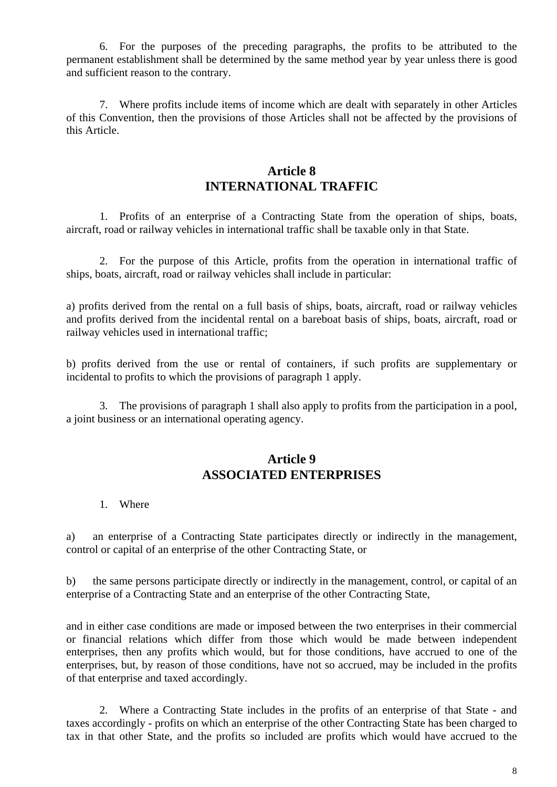6. For the purposes of the preceding paragraphs, the profits to be attributed to the permanent establishment shall be determined by the same method year by year unless there is good and sufficient reason to the contrary.

7. Where profits include items of income which are dealt with separately in other Articles of this Convention, then the provisions of those Articles shall not be affected by the provisions of this Article.

#### **Article 8 INTERNATIONAL TRAFFIC**

1. Profits of an enterprise of a Contracting State from the operation of ships, boats, aircraft, road or railway vehicles in international traffic shall be taxable only in that State.

2. For the purpose of this Article, profits from the operation in international traffic of ships, boats, aircraft, road or railway vehicles shall include in particular:

a) profits derived from the rental on a full basis of ships, boats, aircraft, road or railway vehicles and profits derived from the incidental rental on a bareboat basis of ships, boats, aircraft, road or railway vehicles used in international traffic;

b) profits derived from the use or rental of containers, if such profits are supplementary or incidental to profits to which the provisions of paragraph 1 apply.

3. The provisions of paragraph 1 shall also apply to profits from the participation in a pool, a joint business or an international operating agency.

#### **Article 9 ASSOCIATED ENTERPRISES**

#### 1. Where

a) an enterprise of a Contracting State participates directly or indirectly in the management, control or capital of an enterprise of the other Contracting State, or

b) the same persons participate directly or indirectly in the management, control, or capital of an enterprise of a Contracting State and an enterprise of the other Contracting State,

and in either case conditions are made or imposed between the two enterprises in their commercial or financial relations which differ from those which would be made between independent enterprises, then any profits which would, but for those conditions, have accrued to one of the enterprises, but, by reason of those conditions, have not so accrued, may be included in the profits of that enterprise and taxed accordingly.

2. Where a Contracting State includes in the profits of an enterprise of that State - and taxes accordingly - profits on which an enterprise of the other Contracting State has been charged to tax in that other State, and the profits so included are profits which would have accrued to the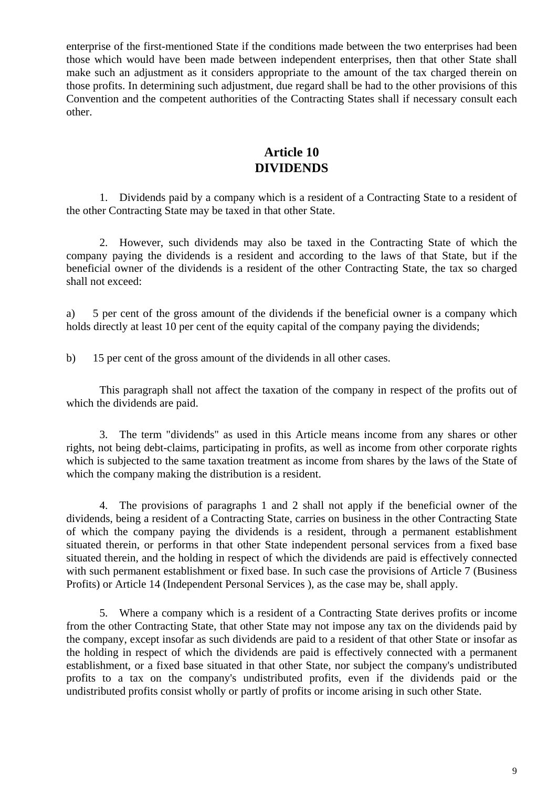enterprise of the first-mentioned State if the conditions made between the two enterprises had been those which would have been made between independent enterprises, then that other State shall make such an adjustment as it considers appropriate to the amount of the tax charged therein on those profits. In determining such adjustment, due regard shall be had to the other provisions of this Convention and the competent authorities of the Contracting States shall if necessary consult each other.

### **Article 10 DIVIDENDS**

1. Dividends paid by a company which is a resident of a Contracting State to a resident of the other Contracting State may be taxed in that other State.

2. However, such dividends may also be taxed in the Contracting State of which the company paying the dividends is a resident and according to the laws of that State, but if the beneficial owner of the dividends is a resident of the other Contracting State, the tax so charged shall not exceed:

a) 5 per cent of the gross amount of the dividends if the beneficial owner is a company which holds directly at least 10 per cent of the equity capital of the company paying the dividends;

b) 15 per cent of the gross amount of the dividends in all other cases.

This paragraph shall not affect the taxation of the company in respect of the profits out of which the dividends are paid.

3. The term "dividends" as used in this Article means income from any shares or other rights, not being debt-claims, participating in profits, as well as income from other corporate rights which is subjected to the same taxation treatment as income from shares by the laws of the State of which the company making the distribution is a resident.

4. The provisions of paragraphs 1 and 2 shall not apply if the beneficial owner of the dividends, being a resident of a Contracting State, carries on business in the other Contracting State of which the company paying the dividends is a resident, through a permanent establishment situated therein, or performs in that other State independent personal services from a fixed base situated therein, and the holding in respect of which the dividends are paid is effectively connected with such permanent establishment or fixed base. In such case the provisions of Article 7 (Business Profits) or Article 14 (Independent Personal Services ), as the case may be, shall apply.

5. Where a company which is a resident of a Contracting State derives profits or income from the other Contracting State, that other State may not impose any tax on the dividends paid by the company, except insofar as such dividends are paid to a resident of that other State or insofar as the holding in respect of which the dividends are paid is effectively connected with a permanent establishment, or a fixed base situated in that other State, nor subject the company's undistributed profits to a tax on the company's undistributed profits, even if the dividends paid or the undistributed profits consist wholly or partly of profits or income arising in such other State.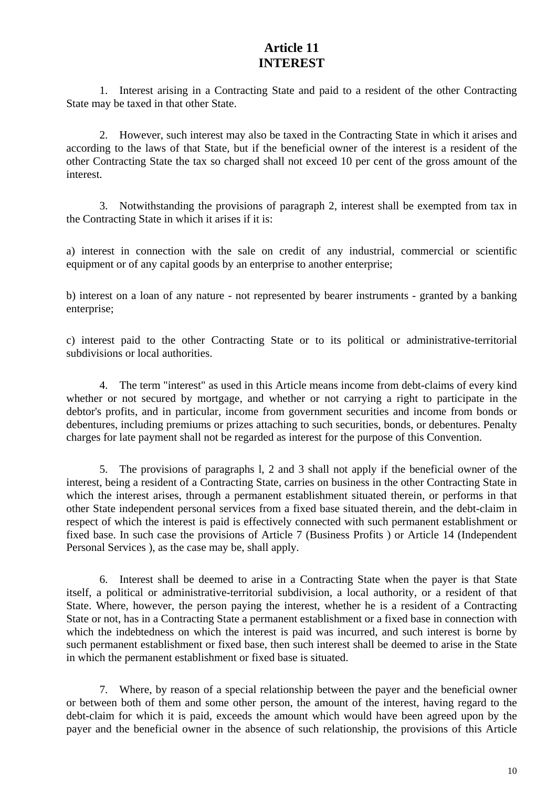#### **Article 11 INTEREST**

1. Interest arising in a Contracting State and paid to a resident of the other Contracting State may be taxed in that other State.

2. However, such interest may also be taxed in the Contracting State in which it arises and according to the laws of that State, but if the beneficial owner of the interest is a resident of the other Contracting State the tax so charged shall not exceed 10 per cent of the gross amount of the interest.

3. Notwithstanding the provisions of paragraph 2, interest shall be exempted from tax in the Contracting State in which it arises if it is:

a) interest in connection with the sale on credit of any industrial, commercial or scientific equipment or of any capital goods by an enterprise to another enterprise;

b) interest on a loan of any nature - not represented by bearer instruments - granted by a banking enterprise;

c) interest paid to the other Contracting State or to its political or administrative-territorial subdivisions or local authorities.

4. The term "interest" as used in this Article means income from debt-claims of every kind whether or not secured by mortgage, and whether or not carrying a right to participate in the debtor's profits, and in particular, income from government securities and income from bonds or debentures, including premiums or prizes attaching to such securities, bonds, or debentures. Penalty charges for late payment shall not be regarded as interest for the purpose of this Convention.

5. The provisions of paragraphs l, 2 and 3 shall not apply if the beneficial owner of the interest, being a resident of a Contracting State, carries on business in the other Contracting State in which the interest arises, through a permanent establishment situated therein, or performs in that other State independent personal services from a fixed base situated therein, and the debt-claim in respect of which the interest is paid is effectively connected with such permanent establishment or fixed base. In such case the provisions of Article 7 (Business Profits ) or Article 14 (Independent Personal Services ), as the case may be, shall apply.

6. Interest shall be deemed to arise in a Contracting State when the payer is that State itself, a political or administrative-territorial subdivision, a local authority, or a resident of that State. Where, however, the person paying the interest, whether he is a resident of a Contracting State or not, has in a Contracting State a permanent establishment or a fixed base in connection with which the indebtedness on which the interest is paid was incurred, and such interest is borne by such permanent establishment or fixed base, then such interest shall be deemed to arise in the State in which the permanent establishment or fixed base is situated.

7. Where, by reason of a special relationship between the payer and the beneficial owner or between both of them and some other person, the amount of the interest, having regard to the debt-claim for which it is paid, exceeds the amount which would have been agreed upon by the payer and the beneficial owner in the absence of such relationship, the provisions of this Article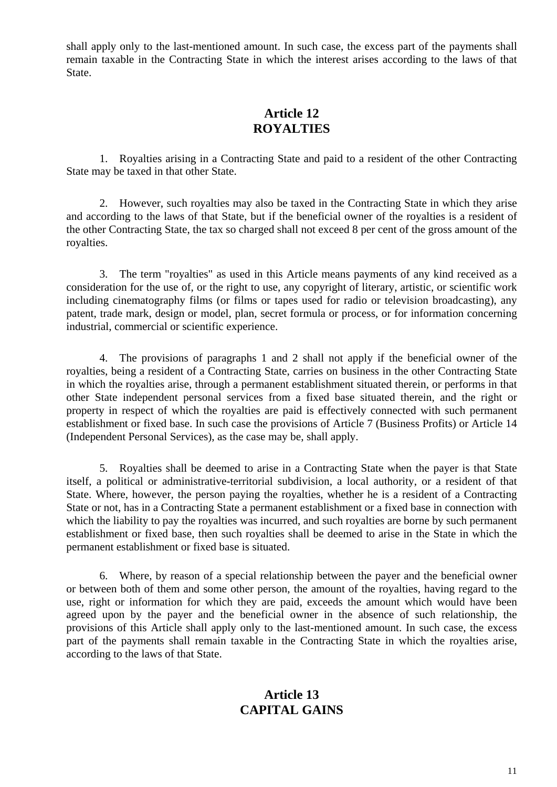shall apply only to the last-mentioned amount. In such case, the excess part of the payments shall remain taxable in the Contracting State in which the interest arises according to the laws of that State.

### **Article 12 ROYALTIES**

1. Royalties arising in a Contracting State and paid to a resident of the other Contracting State may be taxed in that other State.

2. However, such royalties may also be taxed in the Contracting State in which they arise and according to the laws of that State, but if the beneficial owner of the royalties is a resident of the other Contracting State, the tax so charged shall not exceed 8 per cent of the gross amount of the royalties.

3. The term "royalties" as used in this Article means payments of any kind received as a consideration for the use of, or the right to use, any copyright of literary, artistic, or scientific work including cinematography films (or films or tapes used for radio or television broadcasting), any patent, trade mark, design or model, plan, secret formula or process, or for information concerning industrial, commercial or scientific experience.

4. The provisions of paragraphs 1 and 2 shall not apply if the beneficial owner of the royalties, being a resident of a Contracting State, carries on business in the other Contracting State in which the royalties arise, through a permanent establishment situated therein, or performs in that other State independent personal services from a fixed base situated therein, and the right or property in respect of which the royalties are paid is effectively connected with such permanent establishment or fixed base. In such case the provisions of Article 7 (Business Profits) or Article 14 (Independent Personal Services), as the case may be, shall apply.

5. Royalties shall be deemed to arise in a Contracting State when the payer is that State itself, a political or administrative-territorial subdivision, a local authority, or a resident of that State. Where, however, the person paying the royalties, whether he is a resident of a Contracting State or not, has in a Contracting State a permanent establishment or a fixed base in connection with which the liability to pay the royalties was incurred, and such royalties are borne by such permanent establishment or fixed base, then such royalties shall be deemed to arise in the State in which the permanent establishment or fixed base is situated.

6. Where, by reason of a special relationship between the payer and the beneficial owner or between both of them and some other person, the amount of the royalties, having regard to the use, right or information for which they are paid, exceeds the amount which would have been agreed upon by the payer and the beneficial owner in the absence of such relationship, the provisions of this Article shall apply only to the last-mentioned amount. In such case, the excess part of the payments shall remain taxable in the Contracting State in which the royalties arise, according to the laws of that State.

### **Article 13 CAPITAL GAINS**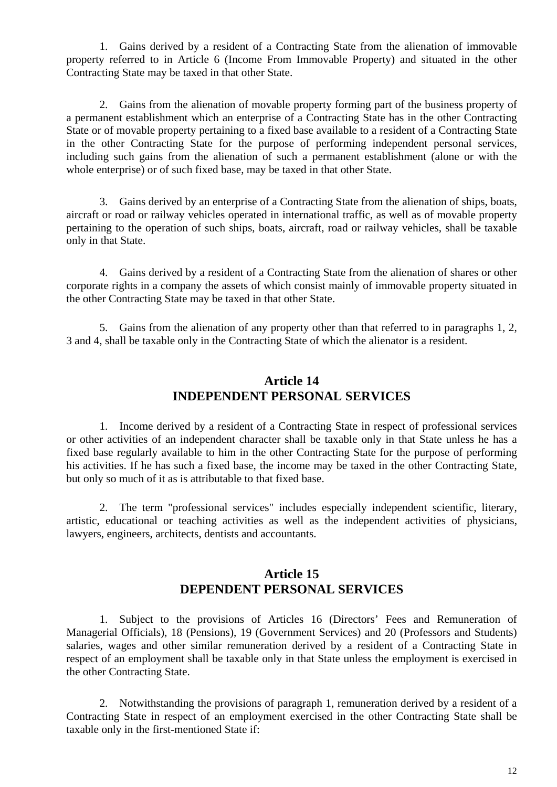1. Gains derived by a resident of a Contracting State from the alienation of immovable property referred to in Article 6 (Income From Immovable Property) and situated in the other Contracting State may be taxed in that other State.

2. Gains from the alienation of movable property forming part of the business property of a permanent establishment which an enterprise of a Contracting State has in the other Contracting State or of movable property pertaining to a fixed base available to a resident of a Contracting State in the other Contracting State for the purpose of performing independent personal services, including such gains from the alienation of such a permanent establishment (alone or with the whole enterprise) or of such fixed base, may be taxed in that other State.

3. Gains derived by an enterprise of a Contracting State from the alienation of ships, boats, aircraft or road or railway vehicles operated in international traffic, as well as of movable property pertaining to the operation of such ships, boats, aircraft, road or railway vehicles, shall be taxable only in that State.

4. Gains derived by a resident of a Contracting State from the alienation of shares or other corporate rights in a company the assets of which consist mainly of immovable property situated in the other Contracting State may be taxed in that other State.

5. Gains from the alienation of any property other than that referred to in paragraphs 1, 2, 3 and 4, shall be taxable only in the Contracting State of which the alienator is a resident.

#### **Article 14 INDEPENDENT PERSONAL SERVICES**

1. Income derived by a resident of a Contracting State in respect of professional services or other activities of an independent character shall be taxable only in that State unless he has a fixed base regularly available to him in the other Contracting State for the purpose of performing his activities. If he has such a fixed base, the income may be taxed in the other Contracting State, but only so much of it as is attributable to that fixed base.

2. The term "professional services" includes especially independent scientific, literary, artistic, educational or teaching activities as well as the independent activities of physicians, lawyers, engineers, architects, dentists and accountants.

#### **Article 15 DEPENDENT PERSONAL SERVICES**

1. Subject to the provisions of Articles 16 (Directors' Fees and Remuneration of Managerial Officials), 18 (Pensions), 19 (Government Services) and 20 (Professors and Students) salaries, wages and other similar remuneration derived by a resident of a Contracting State in respect of an employment shall be taxable only in that State unless the employment is exercised in the other Contracting State.

2. Notwithstanding the provisions of paragraph 1, remuneration derived by a resident of a Contracting State in respect of an employment exercised in the other Contracting State shall be taxable only in the first-mentioned State if: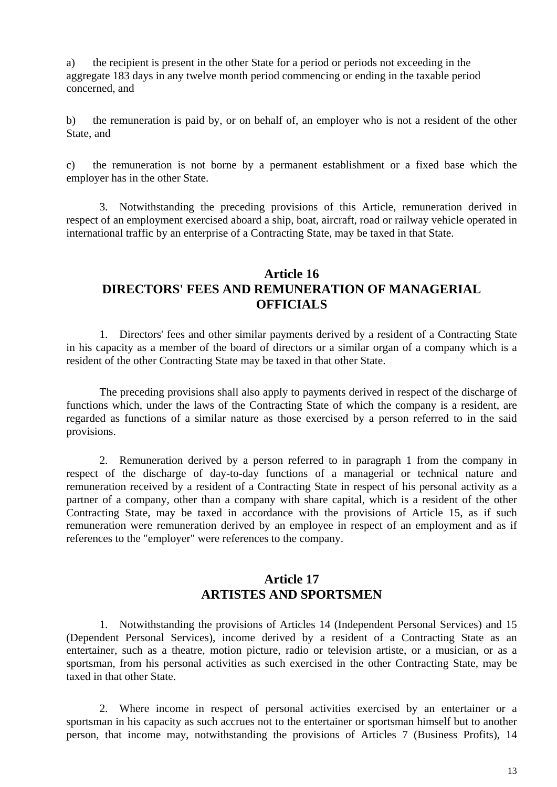a) the recipient is present in the other State for a period or periods not exceeding in the aggregate 183 days in any twelve month period commencing or ending in the taxable period concerned, and

b) the remuneration is paid by, or on behalf of, an employer who is not a resident of the other State, and

c) the remuneration is not borne by a permanent establishment or a fixed base which the employer has in the other State.

3. Notwithstanding the preceding provisions of this Article, remuneration derived in respect of an employment exercised aboard a ship, boat, aircraft, road or railway vehicle operated in international traffic by an enterprise of a Contracting State, may be taxed in that State.

#### **Article 16 DIRECTORS' FEES AND REMUNERATION OF MANAGERIAL OFFICIALS**

1. Directors' fees and other similar payments derived by a resident of a Contracting State in his capacity as a member of the board of directors or a similar organ of a company which is a resident of the other Contracting State may be taxed in that other State.

The preceding provisions shall also apply to payments derived in respect of the discharge of functions which, under the laws of the Contracting State of which the company is a resident, are regarded as functions of a similar nature as those exercised by a person referred to in the said provisions.

2. Remuneration derived by a person referred to in paragraph 1 from the company in respect of the discharge of day-to-day functions of a managerial or technical nature and remuneration received by a resident of a Contracting State in respect of his personal activity as a partner of a company, other than a company with share capital, which is a resident of the other Contracting State, may be taxed in accordance with the provisions of Article 15, as if such remuneration were remuneration derived by an employee in respect of an employment and as if references to the "employer" were references to the company.

### **Article 17 ARTISTES AND SPORTSMEN**

1. Notwithstanding the provisions of Articles 14 (Independent Personal Services) and 15 (Dependent Personal Services), income derived by a resident of a Contracting State as an entertainer, such as a theatre, motion picture, radio or television artiste, or a musician, or as a sportsman, from his personal activities as such exercised in the other Contracting State, may be taxed in that other State.

2. Where income in respect of personal activities exercised by an entertainer or a sportsman in his capacity as such accrues not to the entertainer or sportsman himself but to another person, that income may, notwithstanding the provisions of Articles 7 (Business Profits), 14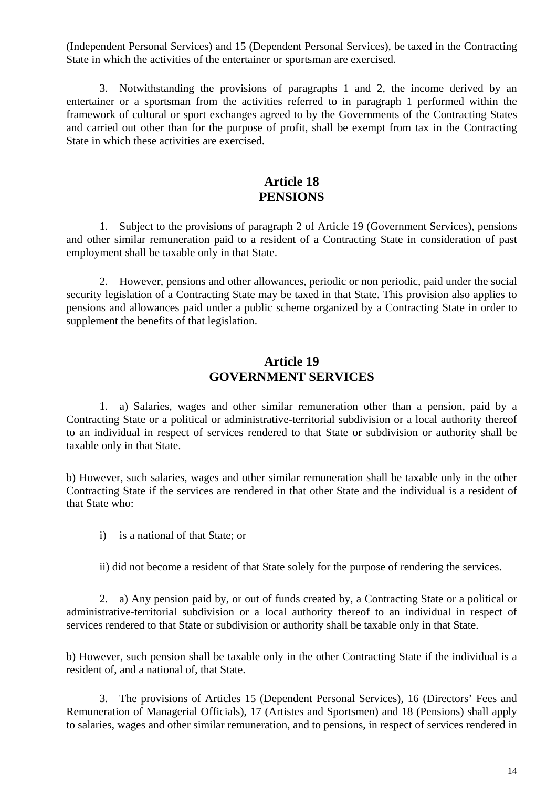(Independent Personal Services) and 15 (Dependent Personal Services), be taxed in the Contracting State in which the activities of the entertainer or sportsman are exercised.

3. Notwithstanding the provisions of paragraphs 1 and 2, the income derived by an entertainer or a sportsman from the activities referred to in paragraph 1 performed within the framework of cultural or sport exchanges agreed to by the Governments of the Contracting States and carried out other than for the purpose of profit, shall be exempt from tax in the Contracting State in which these activities are exercised.

#### **Article 18 PENSIONS**

1. Subject to the provisions of paragraph 2 of Article 19 (Government Services), pensions and other similar remuneration paid to a resident of a Contracting State in consideration of past employment shall be taxable only in that State.

2. However, pensions and other allowances, periodic or non periodic, paid under the social security legislation of a Contracting State may be taxed in that State. This provision also applies to pensions and allowances paid under a public scheme organized by a Contracting State in order to supplement the benefits of that legislation.

#### **Article 19 GOVERNMENT SERVICES**

1. a) Salaries, wages and other similar remuneration other than a pension, paid by a Contracting State or a political or administrative-territorial subdivision or a local authority thereof to an individual in respect of services rendered to that State or subdivision or authority shall be taxable only in that State.

b) However, such salaries, wages and other similar remuneration shall be taxable only in the other Contracting State if the services are rendered in that other State and the individual is a resident of that State who:

i) is a national of that State; or

ii) did not become a resident of that State solely for the purpose of rendering the services.

2. a) Any pension paid by, or out of funds created by, a Contracting State or a political or administrative-territorial subdivision or a local authority thereof to an individual in respect of services rendered to that State or subdivision or authority shall be taxable only in that State.

b) However, such pension shall be taxable only in the other Contracting State if the individual is a resident of, and a national of, that State.

3. The provisions of Articles 15 (Dependent Personal Services), 16 (Directors' Fees and Remuneration of Managerial Officials), 17 (Artistes and Sportsmen) and 18 (Pensions) shall apply to salaries, wages and other similar remuneration, and to pensions, in respect of services rendered in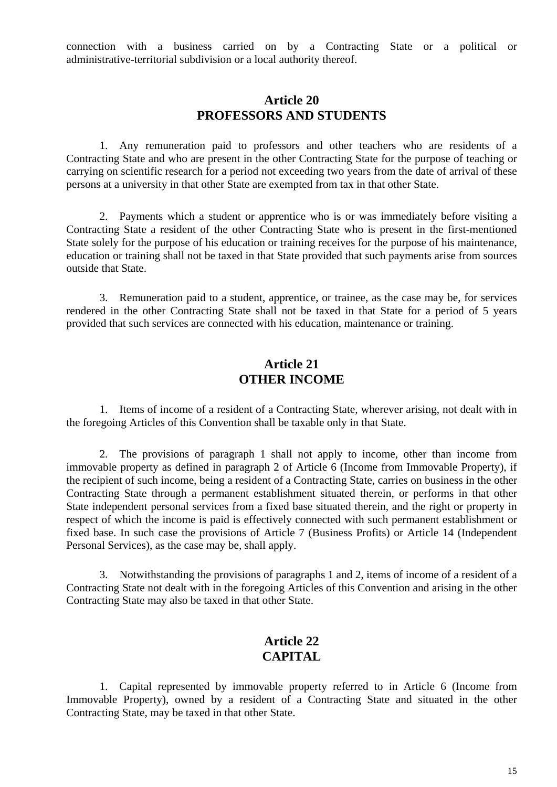connection with a business carried on by a Contracting State or a political or administrative-territorial subdivision or a local authority thereof.

#### **Article 20 PROFESSORS AND STUDENTS**

1. Any remuneration paid to professors and other teachers who are residents of a Contracting State and who are present in the other Contracting State for the purpose of teaching or carrying on scientific research for a period not exceeding two years from the date of arrival of these persons at a university in that other State are exempted from tax in that other State.

2. Payments which a student or apprentice who is or was immediately before visiting a Contracting State a resident of the other Contracting State who is present in the first-mentioned State solely for the purpose of his education or training receives for the purpose of his maintenance, education or training shall not be taxed in that State provided that such payments arise from sources outside that State.

3. Remuneration paid to a student, apprentice, or trainee, as the case may be, for services rendered in the other Contracting State shall not be taxed in that State for a period of 5 years provided that such services are connected with his education, maintenance or training.

#### **Article 21 OTHER INCOME**

1. Items of income of a resident of a Contracting State, wherever arising, not dealt with in the foregoing Articles of this Convention shall be taxable only in that State.

2. The provisions of paragraph 1 shall not apply to income, other than income from immovable property as defined in paragraph 2 of Article 6 (Income from Immovable Property), if the recipient of such income, being a resident of a Contracting State, carries on business in the other Contracting State through a permanent establishment situated therein, or performs in that other State independent personal services from a fixed base situated therein, and the right or property in respect of which the income is paid is effectively connected with such permanent establishment or fixed base. In such case the provisions of Article 7 (Business Profits) or Article 14 (Independent Personal Services), as the case may be, shall apply.

3. Notwithstanding the provisions of paragraphs 1 and 2, items of income of a resident of a Contracting State not dealt with in the foregoing Articles of this Convention and arising in the other Contracting State may also be taxed in that other State.

#### **Article 22 CAPITAL**

1. Capital represented by immovable property referred to in Article 6 (Income from Immovable Property), owned by a resident of a Contracting State and situated in the other Contracting State, may be taxed in that other State.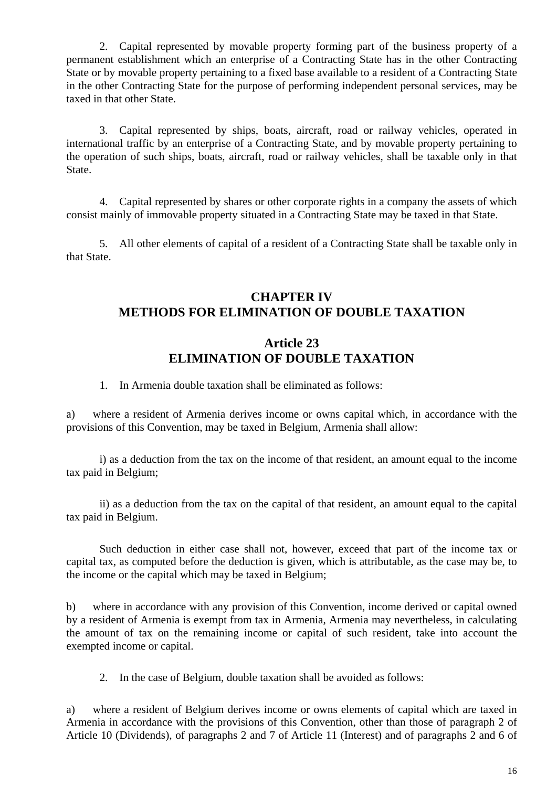2. Capital represented by movable property forming part of the business property of a permanent establishment which an enterprise of a Contracting State has in the other Contracting State or by movable property pertaining to a fixed base available to a resident of a Contracting State in the other Contracting State for the purpose of performing independent personal services, may be taxed in that other State.

3. Capital represented by ships, boats, aircraft, road or railway vehicles, operated in international traffic by an enterprise of a Contracting State, and by movable property pertaining to the operation of such ships, boats, aircraft, road or railway vehicles, shall be taxable only in that State.

4. Capital represented by shares or other corporate rights in a company the assets of which consist mainly of immovable property situated in a Contracting State may be taxed in that State.

5. All other elements of capital of a resident of a Contracting State shall be taxable only in that State.

#### **CHAPTER IV METHODS FOR ELIMINATION OF DOUBLE TAXATION**

#### **Article 23 ELIMINATION OF DOUBLE TAXATION**

1. In Armenia double taxation shall be eliminated as follows:

a) where a resident of Armenia derives income or owns capital which, in accordance with the provisions of this Convention, may be taxed in Belgium, Armenia shall allow:

i) as a deduction from the tax on the income of that resident, an amount equal to the income tax paid in Belgium;

ii) as a deduction from the tax on the capital of that resident, an amount equal to the capital tax paid in Belgium.

Such deduction in either case shall not, however, exceed that part of the income tax or capital tax, as computed before the deduction is given, which is attributable, as the case may be, to the income or the capital which may be taxed in Belgium;

b) where in accordance with any provision of this Convention, income derived or capital owned by a resident of Armenia is exempt from tax in Armenia, Armenia may nevertheless, in calculating the amount of tax on the remaining income or capital of such resident, take into account the exempted income or capital.

2. In the case of Belgium, double taxation shall be avoided as follows:

a) where a resident of Belgium derives income or owns elements of capital which are taxed in Armenia in accordance with the provisions of this Convention, other than those of paragraph 2 of Article 10 (Dividends), of paragraphs 2 and 7 of Article 11 (Interest) and of paragraphs 2 and 6 of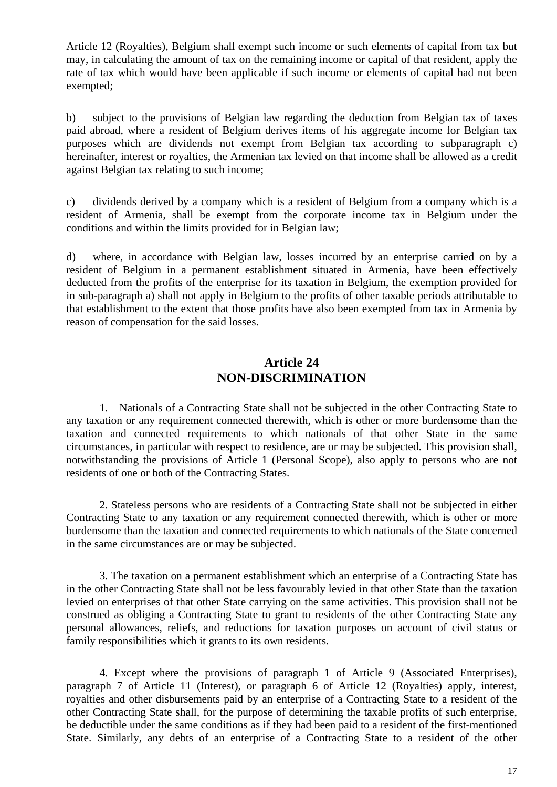Article 12 (Royalties), Belgium shall exempt such income or such elements of capital from tax but may, in calculating the amount of tax on the remaining income or capital of that resident, apply the rate of tax which would have been applicable if such income or elements of capital had not been exempted;

b) subject to the provisions of Belgian law regarding the deduction from Belgian tax of taxes paid abroad, where a resident of Belgium derives items of his aggregate income for Belgian tax purposes which are dividends not exempt from Belgian tax according to subparagraph c) hereinafter, interest or royalties, the Armenian tax levied on that income shall be allowed as a credit against Belgian tax relating to such income;

c) dividends derived by a company which is a resident of Belgium from a company which is a resident of Armenia, shall be exempt from the corporate income tax in Belgium under the conditions and within the limits provided for in Belgian law;

d) where, in accordance with Belgian law, losses incurred by an enterprise carried on by a resident of Belgium in a permanent establishment situated in Armenia, have been effectively deducted from the profits of the enterprise for its taxation in Belgium, the exemption provided for in sub-paragraph a) shall not apply in Belgium to the profits of other taxable periods attributable to that establishment to the extent that those profits have also been exempted from tax in Armenia by reason of compensation for the said losses.

#### **Article 24 NON-DISCRIMINATION**

1. Nationals of a Contracting State shall not be subjected in the other Contracting State to any taxation or any requirement connected therewith, which is other or more burdensome than the taxation and connected requirements to which nationals of that other State in the same circumstances, in particular with respect to residence, are or may be subjected. This provision shall, notwithstanding the provisions of Article 1 (Personal Scope), also apply to persons who are not residents of one or both of the Contracting States.

2. Stateless persons who are residents of a Contracting State shall not be subjected in either Contracting State to any taxation or any requirement connected therewith, which is other or more burdensome than the taxation and connected requirements to which nationals of the State concerned in the same circumstances are or may be subjected.

3. The taxation on a permanent establishment which an enterprise of a Contracting State has in the other Contracting State shall not be less favourably levied in that other State than the taxation levied on enterprises of that other State carrying on the same activities. This provision shall not be construed as obliging a Contracting State to grant to residents of the other Contracting State any personal allowances, reliefs, and reductions for taxation purposes on account of civil status or family responsibilities which it grants to its own residents.

4. Except where the provisions of paragraph 1 of Article 9 (Associated Enterprises), paragraph 7 of Article 11 (Interest), or paragraph 6 of Article 12 (Royalties) apply, interest, royalties and other disbursements paid by an enterprise of a Contracting State to a resident of the other Contracting State shall, for the purpose of determining the taxable profits of such enterprise, be deductible under the same conditions as if they had been paid to a resident of the first-mentioned State. Similarly, any debts of an enterprise of a Contracting State to a resident of the other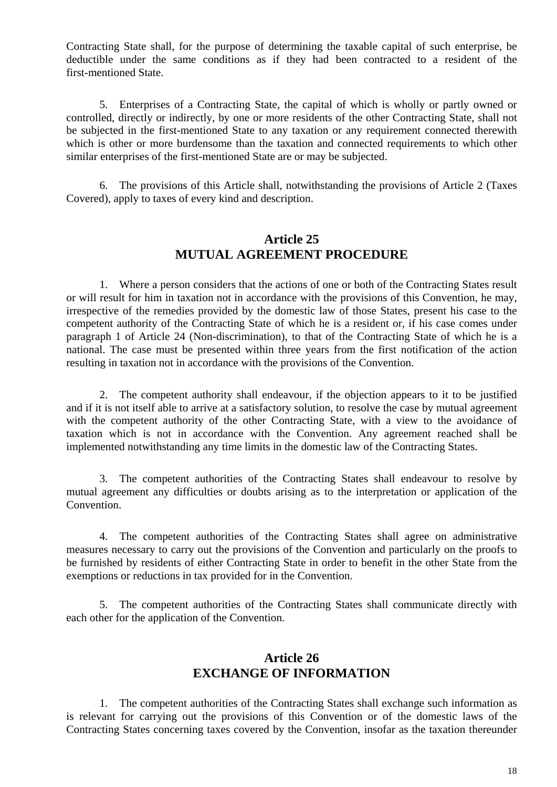Contracting State shall, for the purpose of determining the taxable capital of such enterprise, be deductible under the same conditions as if they had been contracted to a resident of the first-mentioned State.

5. Enterprises of a Contracting State, the capital of which is wholly or partly owned or controlled, directly or indirectly, by one or more residents of the other Contracting State, shall not be subjected in the first-mentioned State to any taxation or any requirement connected therewith which is other or more burdensome than the taxation and connected requirements to which other similar enterprises of the first-mentioned State are or may be subjected.

6. The provisions of this Article shall, notwithstanding the provisions of Article 2 (Taxes Covered), apply to taxes of every kind and description.

#### **Article 25 MUTUAL AGREEMENT PROCEDURE**

1. Where a person considers that the actions of one or both of the Contracting States result or will result for him in taxation not in accordance with the provisions of this Convention, he may, irrespective of the remedies provided by the domestic law of those States, present his case to the competent authority of the Contracting State of which he is a resident or, if his case comes under paragraph 1 of Article 24 (Non-discrimination), to that of the Contracting State of which he is a national. The case must be presented within three years from the first notification of the action resulting in taxation not in accordance with the provisions of the Convention.

2. The competent authority shall endeavour, if the objection appears to it to be justified and if it is not itself able to arrive at a satisfactory solution, to resolve the case by mutual agreement with the competent authority of the other Contracting State, with a view to the avoidance of taxation which is not in accordance with the Convention. Any agreement reached shall be implemented notwithstanding any time limits in the domestic law of the Contracting States.

3. The competent authorities of the Contracting States shall endeavour to resolve by mutual agreement any difficulties or doubts arising as to the interpretation or application of the Convention.

4. The competent authorities of the Contracting States shall agree on administrative measures necessary to carry out the provisions of the Convention and particularly on the proofs to be furnished by residents of either Contracting State in order to benefit in the other State from the exemptions or reductions in tax provided for in the Convention.

5. The competent authorities of the Contracting States shall communicate directly with each other for the application of the Convention.

#### **Article 26 EXCHANGE OF INFORMATION**

1. The competent authorities of the Contracting States shall exchange such information as is relevant for carrying out the provisions of this Convention or of the domestic laws of the Contracting States concerning taxes covered by the Convention, insofar as the taxation thereunder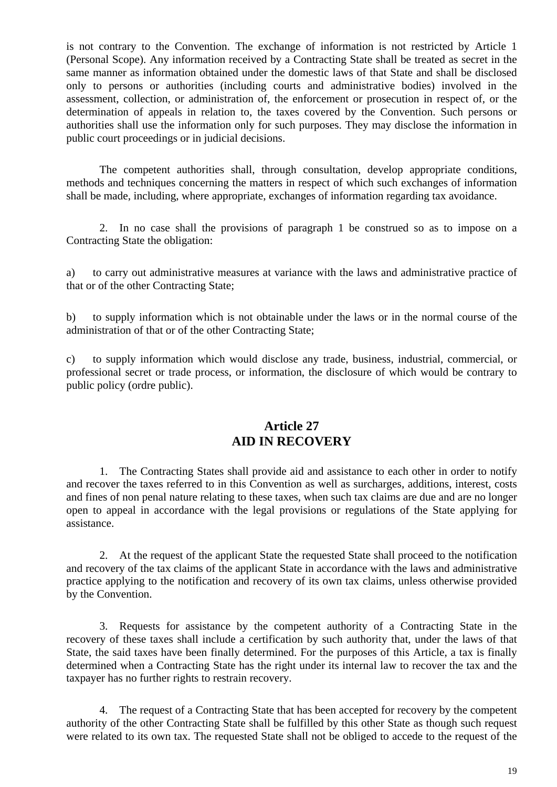is not contrary to the Convention. The exchange of information is not restricted by Article 1 (Personal Scope). Any information received by a Contracting State shall be treated as secret in the same manner as information obtained under the domestic laws of that State and shall be disclosed only to persons or authorities (including courts and administrative bodies) involved in the assessment, collection, or administration of, the enforcement or prosecution in respect of, or the determination of appeals in relation to, the taxes covered by the Convention. Such persons or authorities shall use the information only for such purposes. They may disclose the information in public court proceedings or in judicial decisions.

The competent authorities shall, through consultation, develop appropriate conditions, methods and techniques concerning the matters in respect of which such exchanges of information shall be made, including, where appropriate, exchanges of information regarding tax avoidance.

2. In no case shall the provisions of paragraph 1 be construed so as to impose on a Contracting State the obligation:

a) to carry out administrative measures at variance with the laws and administrative practice of that or of the other Contracting State;

b) to supply information which is not obtainable under the laws or in the normal course of the administration of that or of the other Contracting State;

c) to supply information which would disclose any trade, business, industrial, commercial, or professional secret or trade process, or information, the disclosure of which would be contrary to public policy (ordre public).

#### **Article 27 AID IN RECOVERY**

1. The Contracting States shall provide aid and assistance to each other in order to notify and recover the taxes referred to in this Convention as well as surcharges, additions, interest, costs and fines of non penal nature relating to these taxes, when such tax claims are due and are no longer open to appeal in accordance with the legal provisions or regulations of the State applying for assistance.

2. At the request of the applicant State the requested State shall proceed to the notification and recovery of the tax claims of the applicant State in accordance with the laws and administrative practice applying to the notification and recovery of its own tax claims, unless otherwise provided by the Convention.

3. Requests for assistance by the competent authority of a Contracting State in the recovery of these taxes shall include a certification by such authority that, under the laws of that State, the said taxes have been finally determined. For the purposes of this Article, a tax is finally determined when a Contracting State has the right under its internal law to recover the tax and the taxpayer has no further rights to restrain recovery.

4. The request of a Contracting State that has been accepted for recovery by the competent authority of the other Contracting State shall be fulfilled by this other State as though such request were related to its own tax. The requested State shall not be obliged to accede to the request of the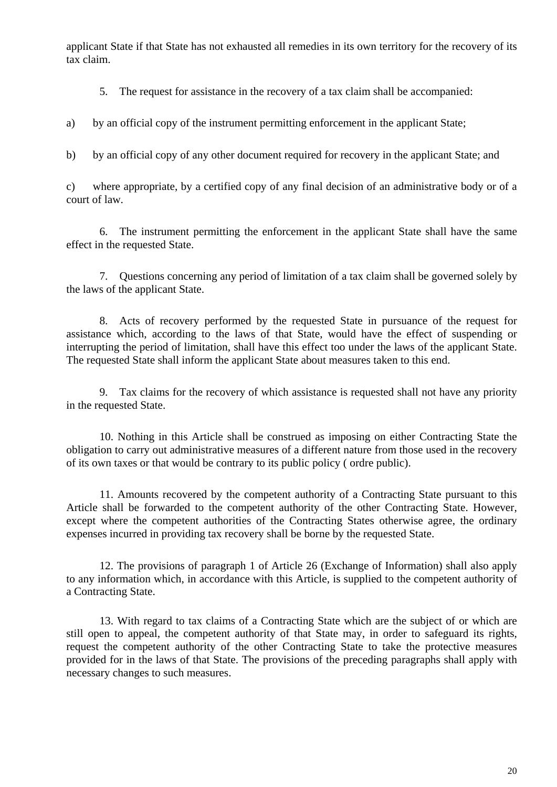applicant State if that State has not exhausted all remedies in its own territory for the recovery of its tax claim.

5. The request for assistance in the recovery of a tax claim shall be accompanied:

a) by an official copy of the instrument permitting enforcement in the applicant State;

b) by an official copy of any other document required for recovery in the applicant State; and

c) where appropriate, by a certified copy of any final decision of an administrative body or of a court of law.

6. The instrument permitting the enforcement in the applicant State shall have the same effect in the requested State.

7. Questions concerning any period of limitation of a tax claim shall be governed solely by the laws of the applicant State.

8. Acts of recovery performed by the requested State in pursuance of the request for assistance which, according to the laws of that State, would have the effect of suspending or interrupting the period of limitation, shall have this effect too under the laws of the applicant State. The requested State shall inform the applicant State about measures taken to this end.

9. Tax claims for the recovery of which assistance is requested shall not have any priority in the requested State.

10. Nothing in this Article shall be construed as imposing on either Contracting State the obligation to carry out administrative measures of a different nature from those used in the recovery of its own taxes or that would be contrary to its public policy ( ordre public).

11. Amounts recovered by the competent authority of a Contracting State pursuant to this Article shall be forwarded to the competent authority of the other Contracting State. However, except where the competent authorities of the Contracting States otherwise agree, the ordinary expenses incurred in providing tax recovery shall be borne by the requested State.

12. The provisions of paragraph 1 of Article 26 (Exchange of Information) shall also apply to any information which, in accordance with this Article, is supplied to the competent authority of a Contracting State.

13. With regard to tax claims of a Contracting State which are the subject of or which are still open to appeal, the competent authority of that State may, in order to safeguard its rights, request the competent authority of the other Contracting State to take the protective measures provided for in the laws of that State. The provisions of the preceding paragraphs shall apply with necessary changes to such measures.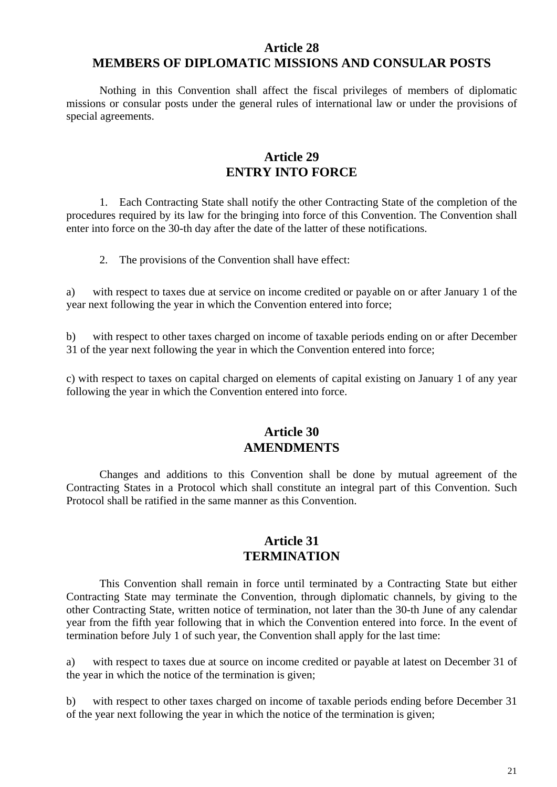#### **Article 28 MEMBERS OF DIPLOMATIC MISSIONS AND CONSULAR POSTS**

Nothing in this Convention shall affect the fiscal privileges of members of diplomatic missions or consular posts under the general rules of international law or under the provisions of special agreements.

#### **Article 29 ENTRY INTO FORCE**

1. Each Contracting State shall notify the other Contracting State of the completion of the procedures required by its law for the bringing into force of this Convention. The Convention shall enter into force on the 30-th day after the date of the latter of these notifications.

2. The provisions of the Convention shall have effect:

a) with respect to taxes due at service on income credited or payable on or after January 1 of the year next following the year in which the Convention entered into force;

b) with respect to other taxes charged on income of taxable periods ending on or after December 31 of the year next following the year in which the Convention entered into force;

c) with respect to taxes on capital charged on elements of capital existing on January 1 of any year following the year in which the Convention entered into force.

#### **Article 30 AMENDMENTS**

Changes and additions to this Convention shall be done by mutual agreement of the Contracting States in a Protocol which shall constitute an integral part of this Convention. Such Protocol shall be ratified in the same manner as this Convention.

#### **Article 31 TERMINATION**

This Convention shall remain in force until terminated by a Contracting State but either Contracting State may terminate the Convention, through diplomatic channels, by giving to the other Contracting State, written notice of termination, not later than the 30-th June of any calendar year from the fifth year following that in which the Convention entered into force. In the event of termination before July 1 of such year, the Convention shall apply for the last time:

a) with respect to taxes due at source on income credited or payable at latest on December 31 of the year in which the notice of the termination is given;

b) with respect to other taxes charged on income of taxable periods ending before December 31 of the year next following the year in which the notice of the termination is given;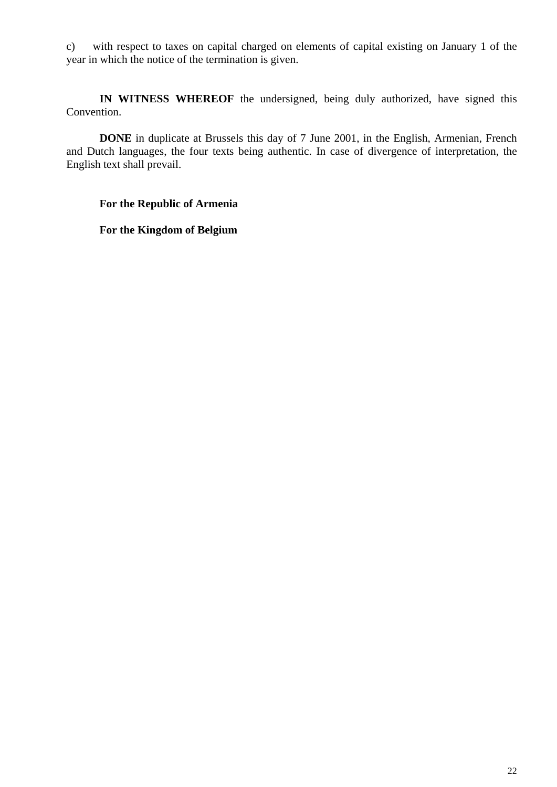c) with respect to taxes on capital charged on elements of capital existing on January 1 of the year in which the notice of the termination is given.

**IN WITNESS WHEREOF** the undersigned, being duly authorized, have signed this Convention.

**DONE** in duplicate at Brussels this day of 7 June 2001, in the English, Armenian, French and Dutch languages, the four texts being authentic. In case of divergence of interpretation, the English text shall prevail.

#### **For the Republic of Armenia**

**For the Kingdom of Belgium**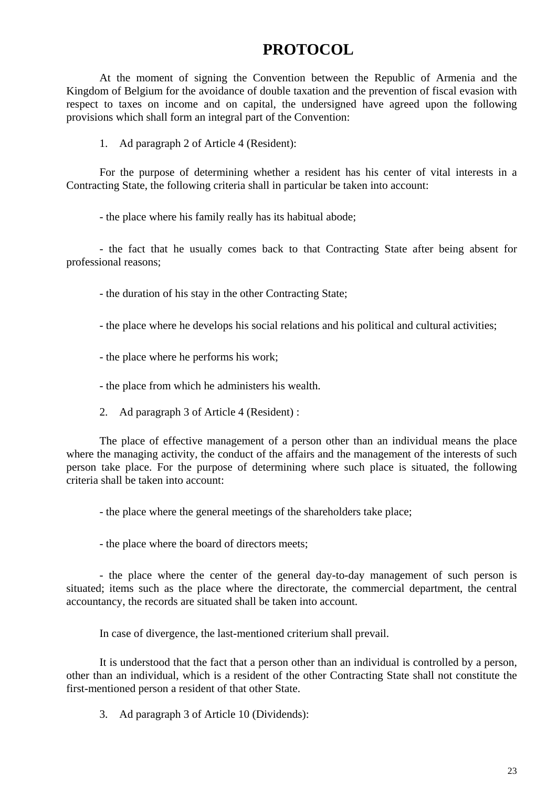# **PROTOCOL**

At the moment of signing the Convention between the Republic of Armenia and the Kingdom of Belgium for the avoidance of double taxation and the prevention of fiscal evasion with respect to taxes on income and on capital, the undersigned have agreed upon the following provisions which shall form an integral part of the Convention:

1. Ad paragraph 2 of Article 4 (Resident):

For the purpose of determining whether a resident has his center of vital interests in a Contracting State, the following criteria shall in particular be taken into account:

- the place where his family really has its habitual abode;

- the fact that he usually comes back to that Contracting State after being absent for professional reasons;

- the duration of his stay in the other Contracting State;

- the place where he develops his social relations and his political and cultural activities;

- the place where he performs his work;

- the place from which he administers his wealth.

2. Ad paragraph 3 of Article 4 (Resident) :

The place of effective management of a person other than an individual means the place where the managing activity, the conduct of the affairs and the management of the interests of such person take place. For the purpose of determining where such place is situated, the following criteria shall be taken into account:

- the place where the general meetings of the shareholders take place;

- the place where the board of directors meets;

- the place where the center of the general day-to-day management of such person is situated; items such as the place where the directorate, the commercial department, the central accountancy, the records are situated shall be taken into account.

In case of divergence, the last-mentioned criterium shall prevail.

It is understood that the fact that a person other than an individual is controlled by a person, other than an individual, which is a resident of the other Contracting State shall not constitute the first-mentioned person a resident of that other State.

3. Ad paragraph 3 of Article 10 (Dividends):